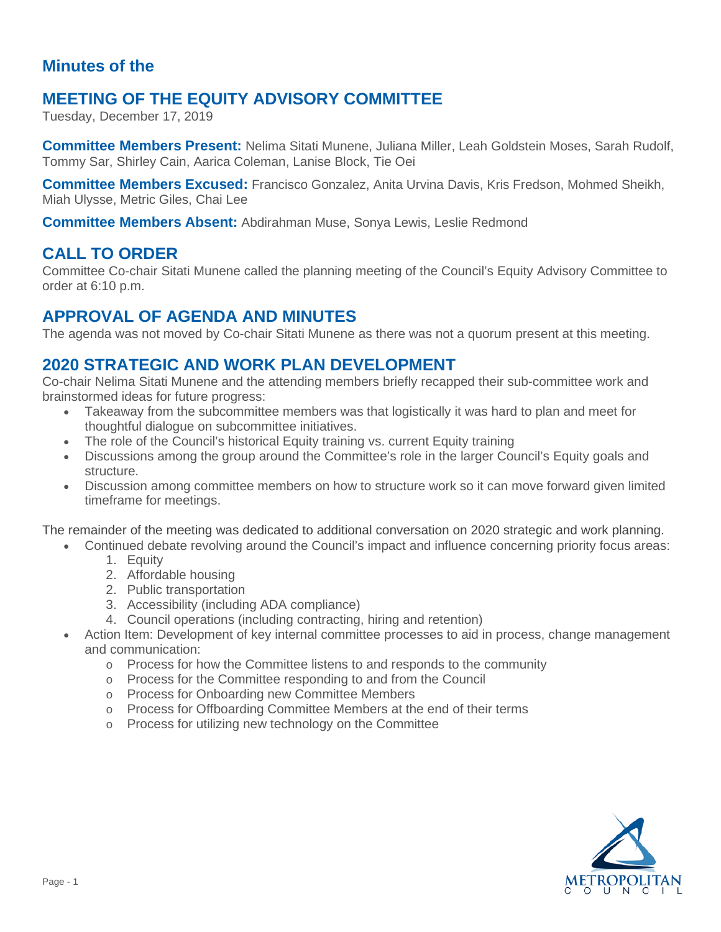### **Minutes of the**

# **MEETING OF THE EQUITY ADVISORY COMMITTEE**

Tuesday, December 17, 2019

**Committee Members Present:** Nelima Sitati Munene, Juliana Miller, Leah Goldstein Moses, Sarah Rudolf, Tommy Sar, Shirley Cain, Aarica Coleman, Lanise Block, Tie Oei

**Committee Members Excused:** Francisco Gonzalez, Anita Urvina Davis, Kris Fredson, Mohmed Sheikh, Miah Ulysse, Metric Giles, Chai Lee

**Committee Members Absent:** Abdirahman Muse, Sonya Lewis, Leslie Redmond

#### **CALL TO ORDER**

Committee Co-chair Sitati Munene called the planning meeting of the Council's Equity Advisory Committee to order at 6:10 p.m.

# **APPROVAL OF AGENDA AND MINUTES**

The agenda was not moved by Co-chair Sitati Munene as there was not a quorum present at this meeting.

#### **2020 STRATEGIC AND WORK PLAN DEVELOPMENT**

Co-chair Nelima Sitati Munene and the attending members briefly recapped their sub-committee work and brainstormed ideas for future progress:

- Takeaway from the subcommittee members was that logistically it was hard to plan and meet for thoughtful dialogue on subcommittee initiatives.
- The role of the Council's historical Equity training vs. current Equity training
- Discussions among the group around the Committee's role in the larger Council's Equity goals and structure.
- Discussion among committee members on how to structure work so it can move forward given limited timeframe for meetings.

The remainder of the meeting was dedicated to additional conversation on 2020 strategic and work planning.

- Continued debate revolving around the Council's impact and influence concerning priority focus areas:
	- 1. Equity
	- 2. Affordable housing
	- 2. Public transportation
	- 3. Accessibility (including ADA compliance)
	- 4. Council operations (including contracting, hiring and retention)
- Action Item: Development of key internal committee processes to aid in process, change management and communication:
	- $\circ$  Process for how the Committee listens to and responds to the community
	- o Process for the Committee responding to and from the Council
	- o Process for Onboarding new Committee Members
	- o Process for Offboarding Committee Members at the end of their terms
	- o Process for utilizing new technology on the Committee